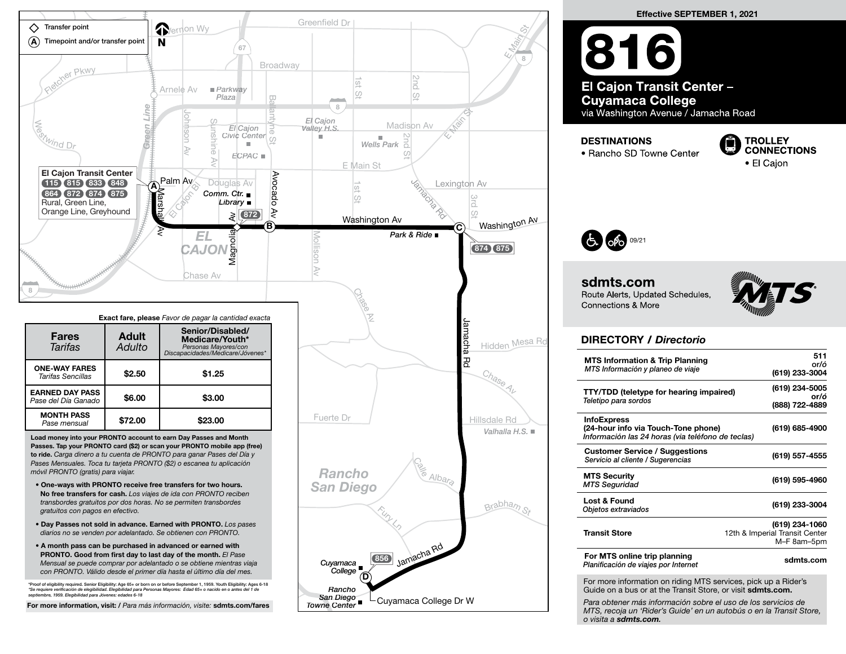

Effective SEPTEMBER 1, 2021 816 El Cajon Transit Center -**Cuyamaca College** via Washington Avenue / Jamacha Road **DESTINATIONS** 

Ō **TROLLEY CONNECTIONS** • El Caion



sdmts.com Route Alerts, Updated Schedules, **Connections & More** 

• Rancho SD Towne Center



## DIRECTORY / Directorio

| <b>MTS Information &amp; Trip Planning</b><br>MTS Información y planeo de viaje                                                                                                                                                                                       | 511<br>or/ó<br>(619) 233-3004                                   |
|-----------------------------------------------------------------------------------------------------------------------------------------------------------------------------------------------------------------------------------------------------------------------|-----------------------------------------------------------------|
| <b>TTY/TDD</b> (teletype for hearing impaired)<br>Teletipo para sordos                                                                                                                                                                                                | (619) 234-5005<br>or/ó<br>(888) 722-4889                        |
| <b>InfoExpress</b><br>(24-hour info via Touch-Tone phone)<br>Información las 24 horas (via teléfono de teclas)                                                                                                                                                        | (619) 685-4900                                                  |
| <b>Customer Service / Suggestions</b><br>Servicio al cliente / Sugerencias                                                                                                                                                                                            | (619) 557-4555                                                  |
| <b>MTS Security</b><br><b>MTS Seguridad</b>                                                                                                                                                                                                                           | (619) 595-4960                                                  |
| Lost & Found<br>Objetos extraviados                                                                                                                                                                                                                                   | (619) 233-3004                                                  |
| <b>Transit Store</b>                                                                                                                                                                                                                                                  | (619) 234-1060<br>12th & Imperial Transit Center<br>M-F 8am-5pm |
| For MTS online trip planning<br>Planificación de viajes por Internet                                                                                                                                                                                                  | sdmts.com                                                       |
| For more information on riding MTS services, pick up a Rider's<br>Guide on a bus or at the Transit Store, or visit sdmts.com.<br>Para obtener más información sobre el uso de los servicios de<br>MTS. recoia un 'Rider's Guide' en un autobús o en la Transit Store. |                                                                 |

o visita a sdmts.com.